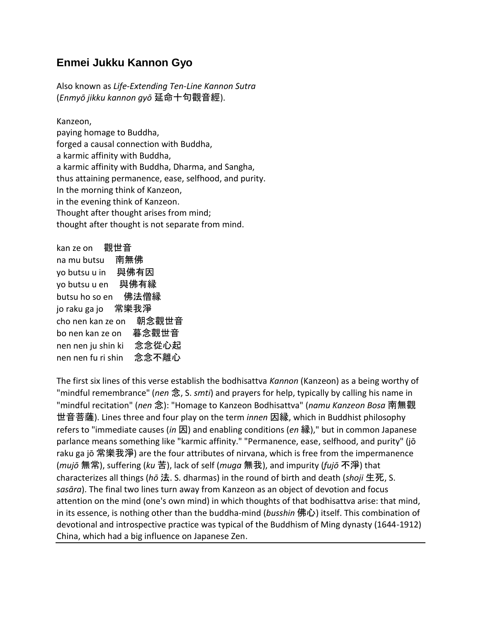## **Enmei Jukku Kannon Gyo**

Also known as *Life-Extending Ten-Line Kannon Sutra* (*Enmyō jikku kannon gyō* 延命十句觀音經).

Kanzeon,

paying homage to Buddha, forged a causal connection with Buddha, a karmic affinity with Buddha, a karmic affinity with Buddha, Dharma, and Sangha, thus attaining permanence, ease, selfhood, and purity. In the morning think of Kanzeon, in the evening think of Kanzeon. Thought after thought arises from mind; thought after thought is not separate from mind.

kan ze on 觀世音 na mu butsu 南無佛 yo butsu u in 與佛有因 yo butsu u en 與佛有縁 butsu ho so en 佛法僧縁 jo raku ga jo 常樂我淨 cho nen kan ze on 朝念觀世音 bo nen kan ze on 暮念觀世音 nen nen ju shin ki 念念從心起 nen nen fu ri shin 念念不離心

The first six lines of this verse establish the bodhisattva *Kannon* (Kanzeon) as a being worthy of "mindful remembrance" (*nen* 念, S. *smti*) and prayers for help, typically by calling his name in "mindful recitation" (*nen* 念): "Homage to Kanzeon Bodhisattva" (*namu Kanzeon Bosa* 南無觀 世音菩薩). Lines three and four play on the term *innen* 因縁, which in Buddhist philosophy refers to "immediate causes (*in* 因) and enabling conditions (*en* 縁)," but in common Japanese parlance means something like "karmic affinity." "Permanence, ease, selfhood, and purity" (jō raku ga jō 常樂我淨) are the four attributes of nirvana, which is free from the impermanence (*mujō* 無常), suffering (*ku* 苦), lack of self (*muga* 無我), and impurity (*fujō* 不淨) that characterizes all things (*hō* 法. S. dharmas) in the round of birth and death (*shoji* 生死, S. *sasāra*). The final two lines turn away from Kanzeon as an object of devotion and focus attention on the mind (one's own mind) in which thoughts of that bodhisattva arise: that mind, in its essence, is nothing other than the buddha-mind (*busshin* 佛心) itself. This combination of devotional and introspective practice was typical of the Buddhism of Ming dynasty (1644-1912) China, which had a big influence on Japanese Zen.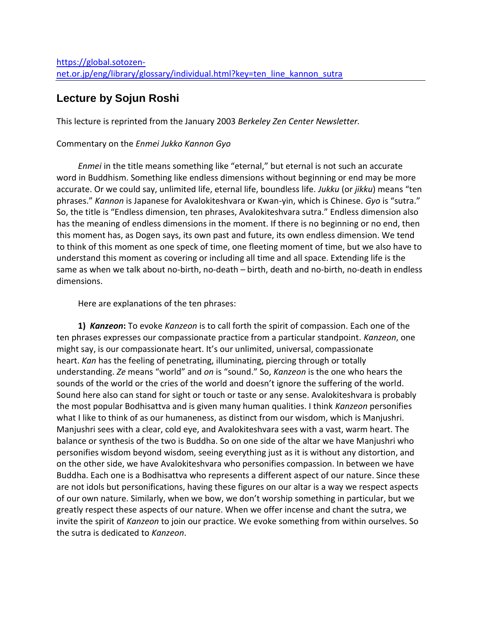# **Lecture by Sojun Roshi**

This lecture is reprinted from the January 2003 *Berkeley Zen Center Newsletter.*

### Commentary on the *Enmei Jukko Kannon Gyo*

 *Enmei* in the title means something like "eternal," but eternal is not such an accurate word in Buddhism. Something like endless dimensions without beginning or end may be more accurate. Or we could say, unlimited life, eternal life, boundless life. *Jukku* (or *jikku*) means "ten phrases." *Kannon* is Japanese for Avalokiteshvara or Kwan-yin, which is Chinese. *Gyo* is "sutra." So, the title is "Endless dimension, ten phrases, Avalokiteshvara sutra." Endless dimension also has the meaning of endless dimensions in the moment. If there is no beginning or no end, then this moment has, as Dogen says, its own past and future, its own endless dimension. We tend to think of this moment as one speck of time, one fleeting moment of time, but we also have to understand this moment as covering or including all time and all space. Extending life is the same as when we talk about no-birth, no-death – birth, death and no-birth, no-death in endless dimensions.

Here are explanations of the ten phrases:

**1)** *Kanzeon***:** To evoke *Kanzeon* is to call forth the spirit of compassion. Each one of the ten phrases expresses our compassionate practice from a particular standpoint. *Kanzeon*, one might say, is our compassionate heart. It's our unlimited, universal, compassionate heart. *Kan* has the feeling of penetrating, illuminating, piercing through or totally understanding. *Ze* means "world" and *on* is "sound." So, *Kanzeon* is the one who hears the sounds of the world or the cries of the world and doesn't ignore the suffering of the world. Sound here also can stand for sight or touch or taste or any sense. Avalokiteshvara is probably the most popular Bodhisattva and is given many human qualities. I think *Kanzeon* personifies what I like to think of as our humaneness, as distinct from our wisdom, which is Manjushri. Manjushri sees with a clear, cold eye, and Avalokiteshvara sees with a vast, warm heart. The balance or synthesis of the two is Buddha. So on one side of the altar we have Manjushri who personifies wisdom beyond wisdom, seeing everything just as it is without any distortion, and on the other side, we have Avalokiteshvara who personifies compassion. In between we have Buddha. Each one is a Bodhisattva who represents a different aspect of our nature. Since these are not idols but personifications, having these figures on our altar is a way we respect aspects of our own nature. Similarly, when we bow, we don't worship something in particular, but we greatly respect these aspects of our nature. When we offer incense and chant the sutra, we invite the spirit of *Kanzeon* to join our practice. We evoke something from within ourselves. So the sutra is dedicated to *Kanzeon*.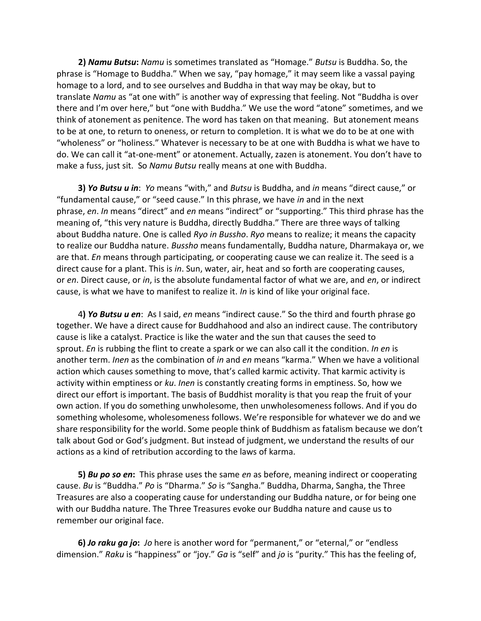**2)** *Namu Butsu***:** *Namu* is sometimes translated as "Homage." *Butsu* is Buddha. So, the phrase is "Homage to Buddha." When we say, "pay homage," it may seem like a vassal paying homage to a lord, and to see ourselves and Buddha in that way may be okay, but to translate *Namu* as "at one with" is another way of expressing that feeling. Not "Buddha is over there and I'm over here," but "one with Buddha." We use the word "atone" sometimes, and we think of atonement as penitence. The word has taken on that meaning. But atonement means to be at one, to return to oneness, or return to completion. It is what we do to be at one with "wholeness" or "holiness." Whatever is necessary to be at one with Buddha is what we have to do. We can call it "at-one-ment" or atonement. Actually, zazen is atonement. You don't have to make a fuss, just sit. So *Namu Butsu* really means at one with Buddha.

 **3)** *Yo Butsu u in*: *Yo* means "with," and *Butsu* is Buddha, and *in* means "direct cause," or "fundamental cause," or "seed cause." In this phrase, we have *in* and in the next phrase, *en*. *In* means "direct" and *en* means "indirect" or "supporting." This third phrase has the meaning of, "this very nature is Buddha, directly Buddha." There are three ways of talking about Buddha nature. One is called *Ryo in Bussho*. *Ryo* means to realize; it means the capacity to realize our Buddha nature. *Bussho* means fundamentally, Buddha nature, Dharmakaya or, we are that. *En* means through participating, or cooperating cause we can realize it. The seed is a direct cause for a plant. This is *in*. Sun, water, air, heat and so forth are cooperating causes, or *en*. Direct cause, or *in*, is the absolute fundamental factor of what we are, and *en*, or indirect cause, is what we have to manifest to realize it. *In* is kind of like your original face.

 4**)** *Yo Butsu u en*: As I said, *en* means "indirect cause." So the third and fourth phrase go together. We have a direct cause for Buddhahood and also an indirect cause. The contributory cause is like a catalyst. Practice is like the water and the sun that causes the seed to sprout. *En* is rubbing the flint to create a spark or we can also call it the condition. *In en* is another term. *Inen* as the combination of *in* and *en* means "karma." When we have a volitional action which causes something to move, that's called karmic activity. That karmic activity is activity within emptiness or *ku*. *Inen* is constantly creating forms in emptiness. So, how we direct our effort is important. The basis of Buddhist morality is that you reap the fruit of your own action. If you do something unwholesome, then unwholesomeness follows. And if you do something wholesome, wholesomeness follows. We're responsible for whatever we do and we share responsibility for the world. Some people think of Buddhism as fatalism because we don't talk about God or God's judgment. But instead of judgment, we understand the results of our actions as a kind of retribution according to the laws of karma.

 **5)** *Bu po so en***:** This phrase uses the same *en* as before, meaning indirect or cooperating cause. *Bu* is "Buddha." *Po* is "Dharma." *So* is "Sangha." Buddha, Dharma, Sangha, the Three Treasures are also a cooperating cause for understanding our Buddha nature, or for being one with our Buddha nature. The Three Treasures evoke our Buddha nature and cause us to remember our original face.

 **6)** *Jo raku ga jo***:** *Jo* here is another word for "permanent," or "eternal," or "endless dimension." *Raku* is "happiness" or "joy." *Ga* is "self" and *jo* is "purity." This has the feeling of,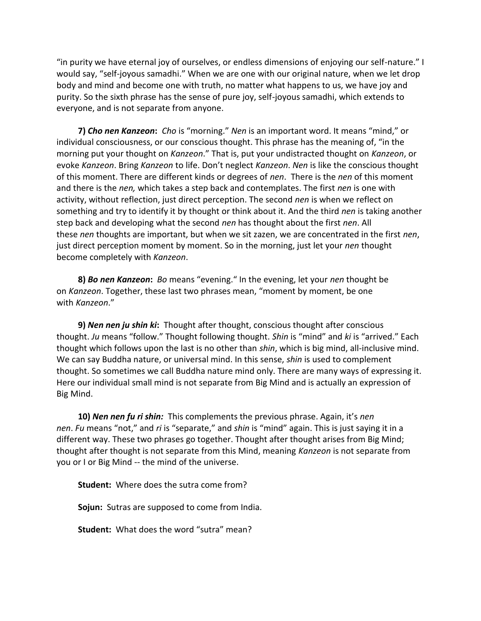"in purity we have eternal joy of ourselves, or endless dimensions of enjoying our self-nature." I would say, "self-joyous samadhi." When we are one with our original nature, when we let drop body and mind and become one with truth, no matter what happens to us, we have joy and purity. So the sixth phrase has the sense of pure joy, self-joyous samadhi, which extends to everyone, and is not separate from anyone.

 **7)** *Cho nen Kanzeon***:** *Cho* is "morning." *Nen* is an important word. It means "mind," or individual consciousness, or our conscious thought. This phrase has the meaning of, "in the morning put your thought on *Kanzeon*." That is, put your undistracted thought on *Kanzeon*, or evoke *Kanzeon*. Bring *Kanzeon* to life. Don't neglect *Kanzeon*. *Nen* is like the conscious thought of this moment. There are different kinds or degrees of *nen*. There is the *nen* of this moment and there is the *nen,* which takes a step back and contemplates. The first *nen* is one with activity, without reflection, just direct perception. The second *nen* is when we reflect on something and try to identify it by thought or think about it. And the third *nen* is taking another step back and developing what the second *nen* has thought about the first *nen*. All these *nen* thoughts are important, but when we sit zazen, we are concentrated in the first *nen*, just direct perception moment by moment. So in the morning, just let your *nen* thought become completely with *Kanzeon*.

 **8)** *Bo nen Kanzeon***:** *Bo* means "evening." In the evening, let your *nen* thought be on *Kanzeon*. Together, these last two phrases mean, "moment by moment, be one with *Kanzeon*."

 **9)** *Nen nen ju shin ki***:** Thought after thought, conscious thought after conscious thought. *Ju* means "follow." Thought following thought. *Shin* is "mind" and *ki* is "arrived." Each thought which follows upon the last is no other than *shin*, which is big mind, all-inclusive mind. We can say Buddha nature, or universal mind. In this sense, *shin* is used to complement thought. So sometimes we call Buddha nature mind only. There are many ways of expressing it. Here our individual small mind is not separate from Big Mind and is actually an expression of Big Mind.

 **10)** *Nen nen fu ri shin:*This complements the previous phrase. Again, it's *nen nen*. *Fu* means "not," and *ri* is "separate," and *shin* is "mind" again. This is just saying it in a different way. These two phrases go together. Thought after thought arises from Big Mind; thought after thought is not separate from this Mind, meaning *Kanzeon* is not separate from you or I or Big Mind -- the mind of the universe.

 **Student:** Where does the sutra come from?

 **Sojun:** Sutras are supposed to come from India.

**Student:** What does the word "sutra" mean?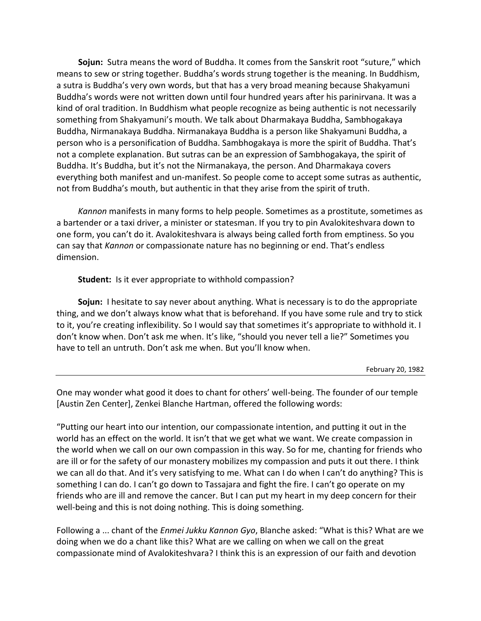**Sojun:** Sutra means the word of Buddha. It comes from the Sanskrit root "suture," which means to sew or string together. Buddha's words strung together is the meaning. In Buddhism, a sutra is Buddha's very own words, but that has a very broad meaning because Shakyamuni Buddha's words were not written down until four hundred years after his parinirvana. It was a kind of oral tradition. In Buddhism what people recognize as being authentic is not necessarily something from Shakyamuni's mouth. We talk about Dharmakaya Buddha, Sambhogakaya Buddha, Nirmanakaya Buddha. Nirmanakaya Buddha is a person like Shakyamuni Buddha, a person who is a personification of Buddha. Sambhogakaya is more the spirit of Buddha. That's not a complete explanation. But sutras can be an expression of Sambhogakaya, the spirit of Buddha. It's Buddha, but it's not the Nirmanakaya, the person. And Dharmakaya covers everything both manifest and un-manifest. So people come to accept some sutras as authentic, not from Buddha's mouth, but authentic in that they arise from the spirit of truth.

 *Kannon* manifests in many forms to help people. Sometimes as a prostitute, sometimes as a bartender or a taxi driver, a minister or statesman. If you try to pin Avalokiteshvara down to one form, you can't do it. Avalokiteshvara is always being called forth from emptiness. So you can say that *Kannon* or compassionate nature has no beginning or end. That's endless dimension.

 **Student:** Is it ever appropriate to withhold compassion?

 **Sojun:** I hesitate to say never about anything. What is necessary is to do the appropriate thing, and we don't always know what that is beforehand. If you have some rule and try to stick to it, you're creating inflexibility. So I would say that sometimes it's appropriate to withhold it. I don't know when. Don't ask me when. It's like, "should you never tell a lie?" Sometimes you have to tell an untruth. Don't ask me when. But you'll know when.

February 20, 1982

One may wonder what good it does to chant for others' well-being. The founder of our temple [Austin Zen Center], Zenkei Blanche Hartman, offered the following words:

"Putting our heart into our intention, our compassionate intention, and putting it out in the world has an effect on the world. It isn't that we get what we want. We create compassion in the world when we call on our own compassion in this way. So for me, chanting for friends who are ill or for the safety of our monastery mobilizes my compassion and puts it out there. I think we can all do that. And it's very satisfying to me. What can I do when I can't do anything? This is something I can do. I can't go down to Tassajara and fight the fire. I can't go operate on my friends who are ill and remove the cancer. But I can put my heart in my deep concern for their well-being and this is not doing nothing. This is doing something.

Following a ... chant of the *Enmei Jukku Kannon Gyo*, Blanche asked: "What is this? What are we doing when we do a chant like this? What are we calling on when we call on the great compassionate mind of Avalokiteshvara? I think this is an expression of our faith and devotion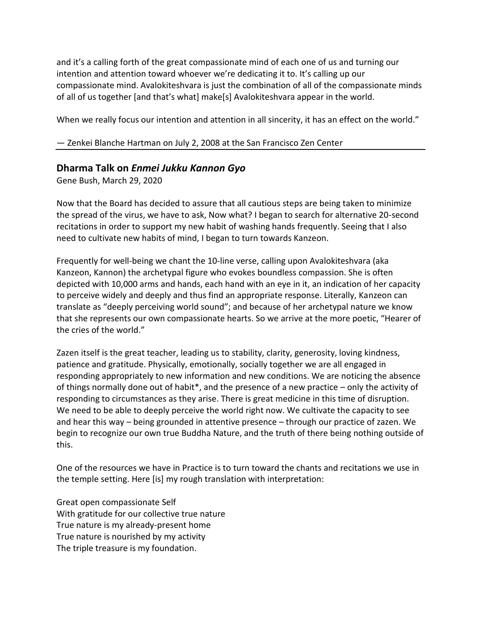and it's a calling forth of the great compassionate mind of each one of us and turning our intention and attention toward whoever we're dedicating it to. It's calling up our compassionate mind. Avalokiteshvara is just the combination of all of the compassionate minds of all of us together [and that's what] make[s] Avalokiteshvara appear in the world.

When we really focus our intention and attention in all sincerity, it has an effect on the world."

— Zenkei Blanche Hartman on July 2, 2008 at the San Francisco Zen Center

## **Dharma Talk on** *Enmei Jukku Kannon Gyo*

Gene Bush, March 29, 2020

Now that the Board has decided to assure that all cautious steps are being taken to minimize the spread of the virus, we have to ask, Now what? I began to search for alternative 20-second recitations in order to support my new habit of washing hands frequently. Seeing that I also need to cultivate new habits of mind, I began to turn towards Kanzeon.

Frequently for well-being we chant the 10-line verse, calling upon Avalokiteshvara (aka Kanzeon, Kannon) the archetypal figure who evokes boundless compassion. She is often depicted with 10,000 arms and hands, each hand with an eye in it, an indication of her capacity to perceive widely and deeply and thus find an appropriate response. Literally, Kanzeon can translate as "deeply perceiving world sound"; and because of her archetypal nature we know that she represents our own compassionate hearts. So we arrive at the more poetic, "Hearer of the cries of the world."

Zazen itself is the great teacher, leading us to stability, clarity, generosity, loving kindness, patience and gratitude. Physically, emotionally, socially together we are all engaged in responding appropriately to new information and new conditions. We are noticing the absence of things normally done out of habit\*, and the presence of a new practice – only the activity of responding to circumstances as they arise. There is great medicine in this time of disruption. We need to be able to deeply perceive the world right now. We cultivate the capacity to see and hear this way – being grounded in attentive presence – through our practice of zazen. We begin to recognize our own true Buddha Nature, and the truth of there being nothing outside of this.

One of the resources we have in Practice is to turn toward the chants and recitations we use in the temple setting. Here [is] my rough translation with interpretation:

Great open compassionate Self With gratitude for our collective true nature True nature is my already-present home True nature is nourished by my activity The triple treasure is my foundation.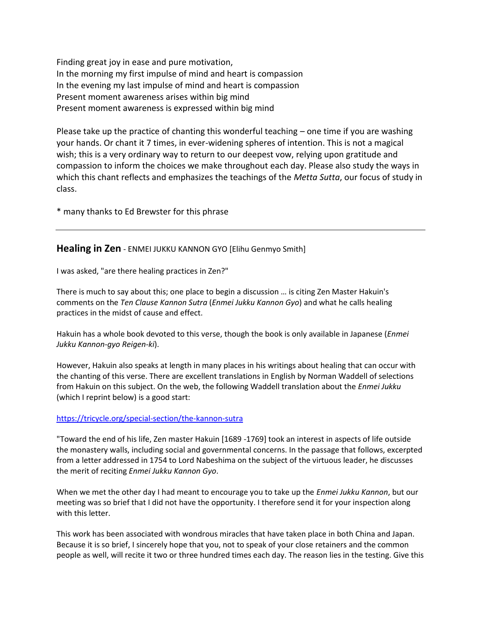Finding great joy in ease and pure motivation, In the morning my first impulse of mind and heart is compassion In the evening my last impulse of mind and heart is compassion Present moment awareness arises within big mind Present moment awareness is expressed within big mind

Please take up the practice of chanting this wonderful teaching – one time if you are washing your hands. Or chant it 7 times, in ever-widening spheres of intention. This is not a magical wish; this is a very ordinary way to return to our deepest vow, relying upon gratitude and compassion to inform the choices we make throughout each day. Please also study the ways in which this chant reflects and emphasizes the teachings of the *Metta Sutta*, our focus of study in class.

\* many thanks to Ed Brewster for this phrase

**Healing in Zen** - ENMEI JUKKU KANNON GYO [Elihu Genmyo Smith]

I was asked, "are there healing practices in Zen?"

There is much to say about this; one place to begin a discussion … is citing Zen Master Hakuin's comments on the *Ten Clause Kannon Sutra* (*Enmei Jukku Kannon Gyo*) and what he calls healing practices in the midst of cause and effect.

Hakuin has a whole book devoted to this verse, though the book is only available in Japanese (*Enmei Jukku Kannon-gyo Reigen-ki*).

However, Hakuin also speaks at length in many places in his writings about healing that can occur with the chanting of this verse. There are excellent translations in English by Norman Waddell of selections from Hakuin on this subject. On the web, the following Waddell translation about the *Enmei Jukku* (which I reprint below) is a good start:

#### <https://tricycle.org/special-section/the-kannon-sutra>

"Toward the end of his life, Zen master Hakuin [1689 -1769] took an interest in aspects of life outside the monastery walls, including social and governmental concerns. In the passage that follows, excerpted from a letter addressed in 1754 to Lord Nabeshima on the subject of the virtuous leader, he discusses the merit of reciting *Enmei Jukku Kannon Gyo*.

When we met the other day I had meant to encourage you to take up the *Enmei Jukku Kannon*, but our meeting was so brief that I did not have the opportunity. I therefore send it for your inspection along with this letter.

This work has been associated with wondrous miracles that have taken place in both China and Japan. Because it is so brief, I sincerely hope that you, not to speak of your close retainers and the common people as well, will recite it two or three hundred times each day. The reason lies in the testing. Give this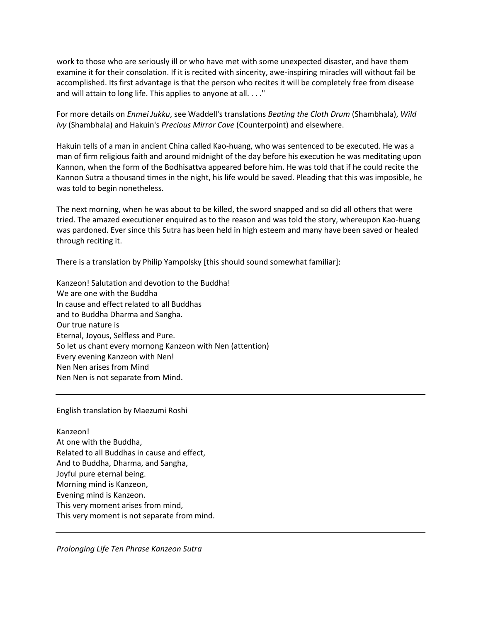work to those who are seriously ill or who have met with some unexpected disaster, and have them examine it for their consolation. If it is recited with sincerity, awe-inspiring miracles will without fail be accomplished. Its first advantage is that the person who recites it will be completely free from disease and will attain to long life. This applies to anyone at all. . . ."

For more details on *Enmei Jukku*, see Waddell's translations *Beating the Cloth Drum* (Shambhala), *Wild Ivy* (Shambhala) and Hakuin's *Precious Mirror Cave* (Counterpoint) and elsewhere.

Hakuin tells of a man in ancient China called Kao-huang, who was sentenced to be executed. He was a man of firm religious faith and around midnight of the day before his execution he was meditating upon Kannon, when the form of the Bodhisattva appeared before him. He was told that if he could recite the Kannon Sutra a thousand times in the night, his life would be saved. Pleading that this was imposible, he was told to begin nonetheless.

The next morning, when he was about to be killed, the sword snapped and so did all others that were tried. The amazed executioner enquired as to the reason and was told the story, whereupon Kao-huang was pardoned. Ever since this Sutra has been held in high esteem and many have been saved or healed through reciting it.

There is a translation by Philip Yampolsky [this should sound somewhat familiar]:

Kanzeon! Salutation and devotion to the Buddha! We are one with the Buddha In cause and effect related to all Buddhas and to Buddha Dharma and Sangha. Our true nature is Eternal, Joyous, Selfless and Pure. So let us chant every mornong Kanzeon with Nen (attention) Every evening Kanzeon with Nen! Nen Nen arises from Mind Nen Nen is not separate from Mind.

English translation by Maezumi Roshi

Kanzeon! At one with the Buddha, Related to all Buddhas in cause and effect, And to Buddha, Dharma, and Sangha, Joyful pure eternal being. Morning mind is Kanzeon, Evening mind is Kanzeon. This very moment arises from mind, This very moment is not separate from mind.

*Prolonging Life Ten Phrase Kanzeon Sutra*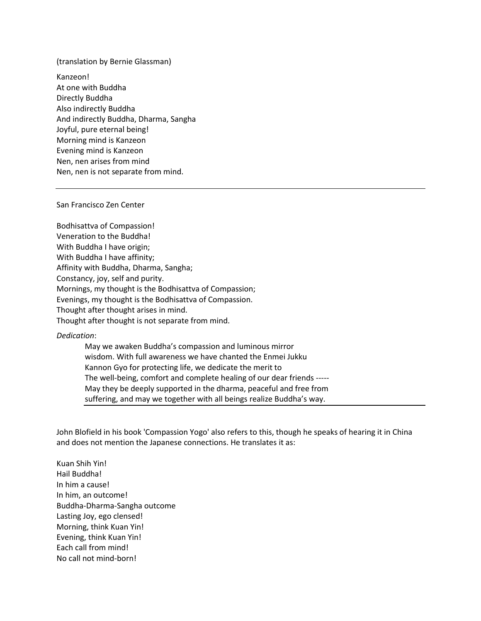(translation by Bernie Glassman)

Kanzeon! At one with Buddha Directly Buddha Also indirectly Buddha And indirectly Buddha, Dharma, Sangha Joyful, pure eternal being! Morning mind is Kanzeon Evening mind is Kanzeon Nen, nen arises from mind Nen, nen is not separate from mind.

#### San Francisco Zen Center

Bodhisattva of Compassion! Veneration to the Buddha! With Buddha I have origin; With Buddha I have affinity; Affinity with Buddha, Dharma, Sangha; Constancy, joy, self and purity. Mornings, my thought is the Bodhisattva of Compassion; Evenings, my thought is the Bodhisattva of Compassion. Thought after thought arises in mind. Thought after thought is not separate from mind.

*Dedication*:

May we awaken Buddha's compassion and luminous mirror wisdom. With full awareness we have chanted the Enmei Jukku Kannon Gyo for protecting life, we dedicate the merit to The well-being, comfort and complete healing of our dear friends ----- May they be deeply supported in the dharma, peaceful and free from suffering, and may we together with all beings realize Buddha's way.

John Blofield in his book 'Compassion Yogo' also refers to this, though he speaks of hearing it in China and does not mention the Japanese connections. He translates it as:

Kuan Shih Yin! Hail Buddha! In him a cause! In him, an outcome! Buddha-Dharma-Sangha outcome Lasting Joy, ego clensed! Morning, think Kuan Yin! Evening, think Kuan Yin! Each call from mind! No call not mind-born!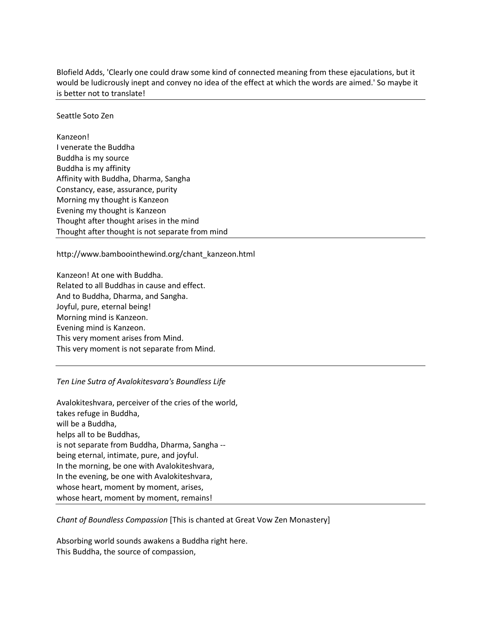Blofield Adds, 'Clearly one could draw some kind of connected meaning from these ejaculations, but it would be ludicrously inept and convey no idea of the effect at which the words are aimed.' So maybe it is better not to translate!

Seattle Soto Zen

Kanzeon! I venerate the Buddha Buddha is my source Buddha is my affinity Affinity with Buddha, Dharma, Sangha Constancy, ease, assurance, purity Morning my thought is Kanzeon Evening my thought is Kanzeon Thought after thought arises in the mind Thought after thought is not separate from mind

http://www.bamboointhewind.org/chant\_kanzeon.html

Kanzeon! At one with Buddha. Related to all Buddhas in cause and effect. And to Buddha, Dharma, and Sangha. Joyful, pure, eternal being! Morning mind is Kanzeon. Evening mind is Kanzeon. This very moment arises from Mind. This very moment is not separate from Mind.

#### *Ten Line Sutra of Avalokitesvara's Boundless Life*

Avalokiteshvara, perceiver of the cries of the world, takes refuge in Buddha, will be a Buddha, helps all to be Buddhas, is not separate from Buddha, Dharma, Sangha - being eternal, intimate, pure, and joyful. In the morning, be one with Avalokiteshvara, In the evening, be one with Avalokiteshvara, whose heart, moment by moment, arises, whose heart, moment by moment, remains!

*Chant of Boundless Compassion* [This is chanted at Great Vow Zen Monastery]

Absorbing world sounds awakens a Buddha right here. This Buddha, the source of compassion,